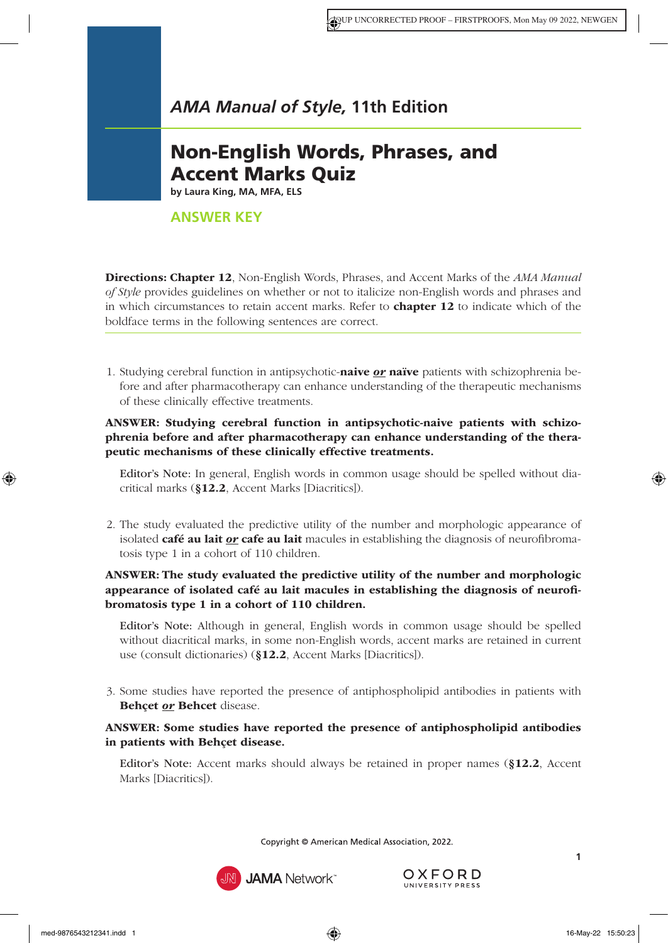# Non-English Words, Phrases, and Accent Marks Quiz

**by Laura King, MA, MFA, ELS**

# **ANSWER KEY**

Directions: Chapter 12[, Non-English Words, Phrases, and Accent Marks](https://www.amamanualofstyle.com/view/10.1093/jama/9780190246556.001.0001/med-9780190246556-chapter-12) of the *AMA Manual of Style* provides guidelines on whether or not to italicize non-English words and phrases and in which circumstances to retain accent marks. Refer to **[chapter 12](https://www.amamanualofstyle.com/view/10.1093/jama/9780190246556.001.0001/med-9780190246556-chapter-12)** to indicate which of the boldface terms in the following sentences are correct.

1. Studying cerebral function in antipsychotic-naive *or* naïve patients with schizophrenia before and after pharmacotherapy can enhance understanding of the therapeutic mechanisms of these clinically effective treatments.

#### ANSWER: Studying cerebral function in antipsychotic-naive patients with schizophrenia before and after pharmacotherapy can enhance understanding of the therapeutic mechanisms of these clinically effective treatments.

Editor's Note: In general, English words in common usage should be spelled without diacritical marks (§12.2[, Accent Marks \[Diacritics\]\)](https://www.amamanualofstyle.com/view/10.1093/jama/9780190246556.001.0001/med-9780190246556-chapter-12-div1-36).

2. The study evaluated the predictive utility of the number and morphologic appearance of isolated café au lait *or* cafe au lait macules in establishing the diagnosis of neurofibromatosis type 1 in a cohort of 110 children.

#### ANSWER: The study evaluated the predictive utility of the number and morphologic appearance of isolated café au lait macules in establishing the diagnosis of neurofibromatosis type 1 in a cohort of 110 children.

Editor's Note: Although in general, English words in common usage should be spelled without diacritical marks, in some non-English words, accent marks are retained in current use (consult dictionaries) (§12.2[, Accent Marks \[Diacritics\]\)](https://www.amamanualofstyle.com/view/10.1093/jama/9780190246556.001.0001/med-9780190246556-chapter-12-div1-36).

3. Some studies have reported the presence of antiphospholipid antibodies in patients with Behcet or Behcet disease.

# ANSWER: Some studies have reported the presence of antiphospholipid antibodies in patients with Behçet disease.

Editor's Note: Accent marks should always be retained in proper names (§12.2[, Accent](https://www.amamanualofstyle.com/view/10.1093/jama/9780190246556.001.0001/med-9780190246556-chapter-12-div1-36) [Marks \[Diacritic](https://www.amamanualofstyle.com/view/10.1093/jama/9780190246556.001.0001/med-9780190246556-chapter-12-div1-36)s]).

Copyright © American Medical Association, 2022.



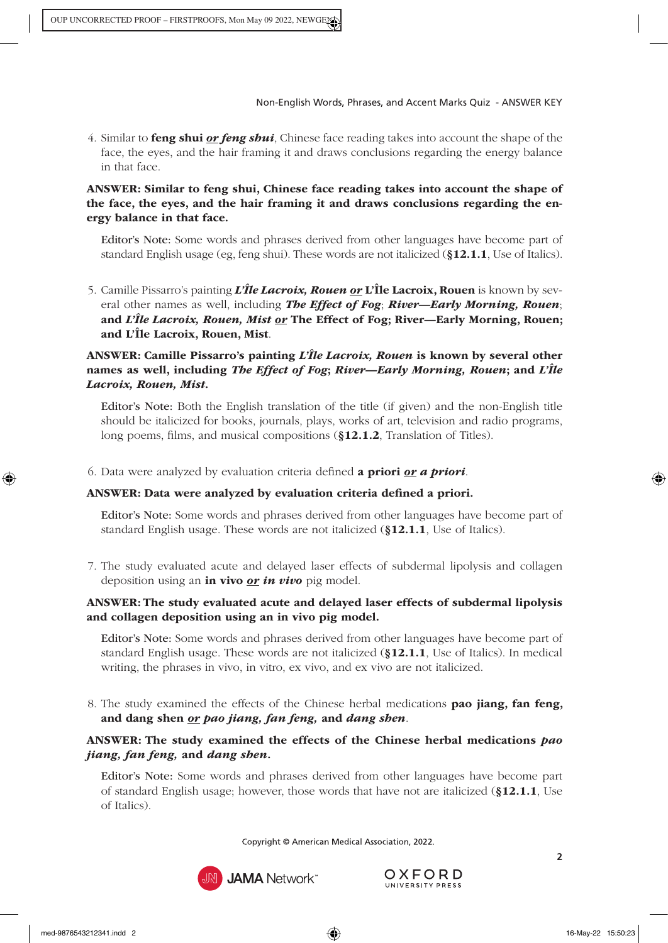4. Similar to feng shui *or feng shui*, Chinese face reading takes into account the shape of the face, the eyes, and the hair framing it and draws conclusions regarding the energy balance in that face.

#### ANSWER: Similar to feng shui, Chinese face reading takes into account the shape of the face, the eyes, and the hair framing it and draws conclusions regarding the energy balance in that face.

Editor's Note: Some words and phrases derived from other languages have become part of standard English usage (eg, feng shui). These words are not italicized (§12.1.1[, Use of Italics\)](https://www.amamanualofstyle.com/view/10.1093/jama/9780190246556.001.0001/med-9780190246556-chapter-12-div2-28).

5. Camille Pissarro's painting *L'Île Lacroix, Rouen or* L'Île Lacroix, Rouen is known by several other names as well, including *The Effect of Fog*; *River—Early Morning, Rouen*; and *L'Île Lacroix, Rouen, Mist or* The Effect of Fog; River—Early Morning, Rouen; and L'Île Lacroix, Rouen, Mist.

#### ANSWER: Camille Pissarro's painting *L'Île Lacroix, Rouen* is known by several other names as well, including *The Effect of Fog*; *River—Early Morning, Rouen*; and *L'Île Lacroix, Rouen, Mist*.

Editor's Note: Both the English translation of the title (if given) and the non-English title should be italicized for books, journals, plays, works of art, television and radio programs, long poems, films, and musical compositions (§12.1.2[, Translation of Titles\).](https://www.amamanualofstyle.com/view/10.1093/jama/9780190246556.001.0001/med-9780190246556-chapter-12-div2-29)

6. Data were analyzed by evaluation criteria defined a priori *or a priori*.

# ANSWER: Data were analyzed by evaluation criteria defined a priori.

Editor's Note: Some words and phrases derived from other languages have become part of standard English usage. These words are not italicized (§12.1.1[, Use of Italics\).](https://www.amamanualofstyle.com/view/10.1093/jama/9780190246556.001.0001/med-9780190246556-chapter-12-div2-28)

7. The study evaluated acute and delayed laser effects of subdermal lipolysis and collagen deposition using an in vivo *or in vivo* pig model.

# ANSWER: The study evaluated acute and delayed laser effects of subdermal lipolysis and collagen deposition using an in vivo pig model.

Editor's Note: Some words and phrases derived from other languages have become part of standard English usage. These words are not italicized (§12.1.1[, Use of Italics\)](https://www.amamanualofstyle.com/view/10.1093/jama/9780190246556.001.0001/med-9780190246556-chapter-12-div2-28). In medical writing, the phrases in vivo, in vitro, ex vivo, and ex vivo are not italicized.

8. The study examined the effects of the Chinese herbal medications pao jiang, fan feng, and dang shen *or pao jiang, fan feng,* and *dang shen*.

# ANSWER: The study examined the effects of the Chinese herbal medications *pao jiang, fan feng,* and *dang shen*.

Editor's Note: Some words and phrases derived from other languages have become part of standard English usage; however, those words that have not are italicized ([§12.1.1](https://www.amamanualofstyle.com/view/10.1093/jama/9780190246556.001.0001/med-9780190246556-chapter-12-div2-28), Use [of Italics\).](https://www.amamanualofstyle.com/view/10.1093/jama/9780190246556.001.0001/med-9780190246556-chapter-12-div2-28)

Copyright © American Medical Association, 2022.